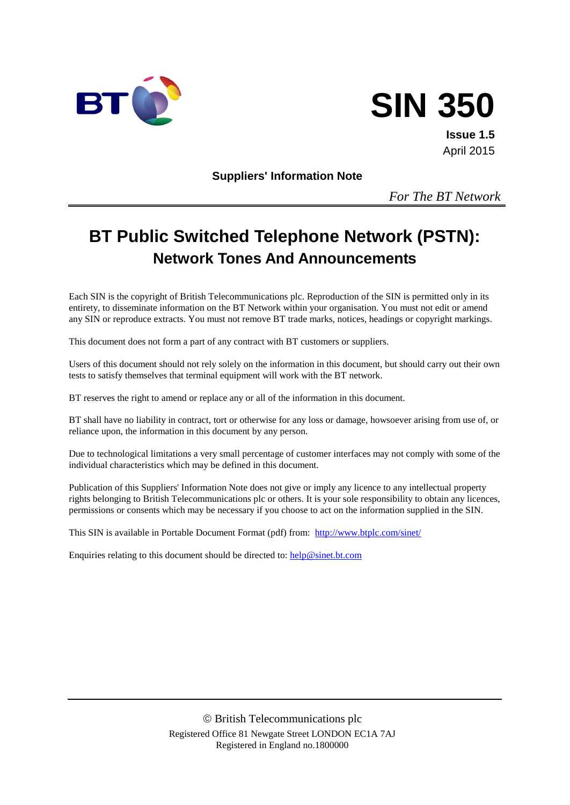



**Issue 1.5** April 2015

**Suppliers' Information Note**

*For The BT Network*

# **BT Public Switched Telephone Network (PSTN): Network Tones And Announcements**

Each SIN is the copyright of British Telecommunications plc. Reproduction of the SIN is permitted only in its entirety, to disseminate information on the BT Network within your organisation. You must not edit or amend any SIN or reproduce extracts. You must not remove BT trade marks, notices, headings or copyright markings.

This document does not form a part of any contract with BT customers or suppliers.

Users of this document should not rely solely on the information in this document, but should carry out their own tests to satisfy themselves that terminal equipment will work with the BT network.

BT reserves the right to amend or replace any or all of the information in this document.

BT shall have no liability in contract, tort or otherwise for any loss or damage, howsoever arising from use of, or reliance upon, the information in this document by any person.

Due to technological limitations a very small percentage of customer interfaces may not comply with some of the individual characteristics which may be defined in this document.

Publication of this Suppliers' Information Note does not give or imply any licence to any intellectual property rights belonging to British Telecommunications plc or others. It is your sole responsibility to obtain any licences, permissions or consents which may be necessary if you choose to act on the information supplied in the SIN.

This SIN is available in Portable Document Format (pdf) from: <http://www.btplc.com/sinet/>

Enquiries relating to this document should be directed to:  $\frac{help@sinet.bt.com}{help@sinet.bt.com}$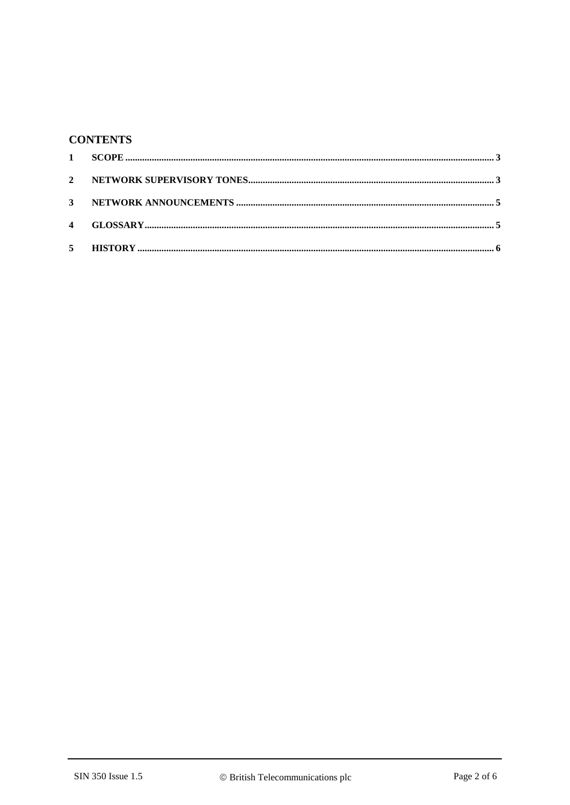## **CONTENTS**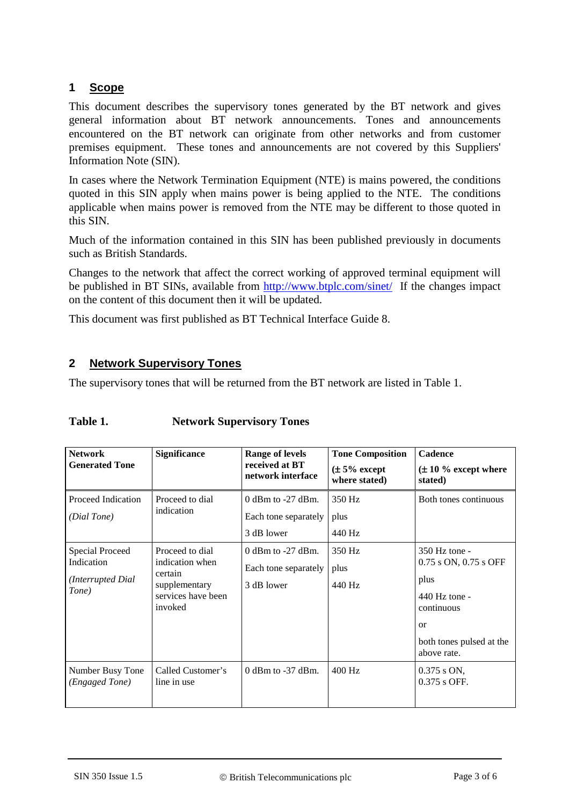## **1 Scope**

This document describes the supervisory tones generated by the BT network and gives general information about BT network announcements. Tones and announcements encountered on the BT network can originate from other networks and from customer premises equipment. These tones and announcements are not covered by this Suppliers' Information Note (SIN).

In cases where the Network Termination Equipment (NTE) is mains powered, the conditions quoted in this SIN apply when mains power is being applied to the NTE. The conditions applicable when mains power is removed from the NTE may be different to those quoted in this SIN.

Much of the information contained in this SIN has been published previously in documents such as British Standards.

Changes to the network that affect the correct working of approved terminal equipment will be published in BT SINs, available from <http://www.btplc.com/sinet/> If the changes impact on the content of this document then it will be updated.

This document was first published as BT Technical Interface Guide 8.

### **2 Network Supervisory Tones**

The supervisory tones that will be returned from the BT network are listed in Table 1.

| Table 1.<br><b>Network Supervisory Tones</b> |  |
|----------------------------------------------|--|
|----------------------------------------------|--|

| <b>Network</b><br><b>Generated Tone</b>                            | <b>Significance</b>                                                                             | <b>Range of levels</b><br>received at BT<br>network interface | <b>Tone Composition</b><br>$(\pm 5\%$ except<br>where stated) | <b>Cadence</b><br>$(\pm 10 \%$ except where<br>stated)                                                                                |
|--------------------------------------------------------------------|-------------------------------------------------------------------------------------------------|---------------------------------------------------------------|---------------------------------------------------------------|---------------------------------------------------------------------------------------------------------------------------------------|
| Proceed Indication<br>(Dial Tone)                                  | Proceed to dial<br>indication                                                                   | $0$ dBm to -27 dBm.<br>Each tone separately<br>3 dB lower     | 350 Hz<br>plus<br>440 Hz                                      | Both tones continuous                                                                                                                 |
| <b>Special Proceed</b><br>Indication<br>(Interrupted Dial<br>Tone) | Proceed to dial<br>indication when<br>certain<br>supplementary<br>services have been<br>invoked | $0$ dBm to -27 dBm.<br>Each tone separately<br>3 dB lower     | 350 Hz<br>plus<br>440 Hz                                      | 350 Hz tone -<br>0.75 s ON, 0.75 s OFF<br>plus<br>440 Hz tone -<br>continuous<br><b>or</b><br>both tones pulsed at the<br>above rate. |
| Number Busy Tone<br>(Engaged Tone)                                 | Called Customer's<br>line in use                                                                | $0$ dBm to $-37$ dBm.                                         | $400$ Hz                                                      | $0.375$ s ON,<br>$0.375$ s OFF.                                                                                                       |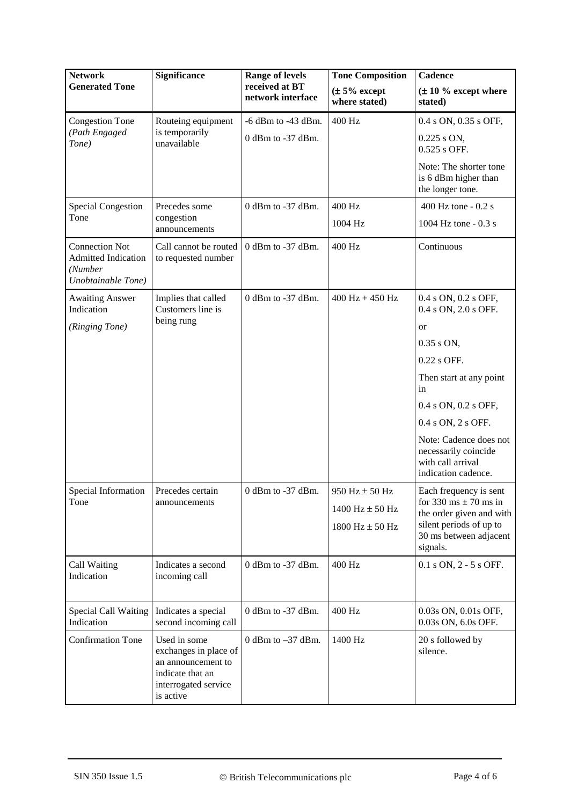| <b>Network</b>                                                                       | <b>Significance</b>                                                                                                  | <b>Range of levels</b><br>received at BT<br>network interface | <b>Tone Composition</b>            | <b>Cadence</b>                                                                             |
|--------------------------------------------------------------------------------------|----------------------------------------------------------------------------------------------------------------------|---------------------------------------------------------------|------------------------------------|--------------------------------------------------------------------------------------------|
| <b>Generated Tone</b>                                                                |                                                                                                                      |                                                               | $(\pm 5\%$ except<br>where stated) | $(\pm 10 \%$ except where<br>stated)                                                       |
| <b>Congestion Tone</b>                                                               | Routeing equipment                                                                                                   | $-6$ dBm to $-43$ dBm.                                        | 400 Hz                             | 0.4 s ON, 0.35 s OFF,                                                                      |
| (Path Engaged<br>Tone)                                                               | is temporarily<br>unavailable                                                                                        | 0 dBm to -37 dBm.                                             |                                    | $0.225$ s ON,<br>0.525 s OFF.                                                              |
|                                                                                      |                                                                                                                      |                                                               |                                    | Note: The shorter tone<br>is 6 dBm higher than<br>the longer tone.                         |
| <b>Special Congestion</b>                                                            | Precedes some                                                                                                        | 0 dBm to -37 dBm.                                             | 400 Hz                             | 400 Hz tone - 0.2 s                                                                        |
| Tone                                                                                 | congestion<br>announcements                                                                                          |                                                               | 1004 Hz                            | 1004 Hz tone - 0.3 s                                                                       |
| <b>Connection Not</b><br><b>Admitted Indication</b><br>(Number<br>Unobtainable Tone) | Call cannot be routed<br>to requested number                                                                         | 0 dBm to -37 dBm.                                             | 400 Hz                             | Continuous                                                                                 |
| <b>Awaiting Answer</b><br>Indication                                                 | Implies that called<br>Customers line is                                                                             | 0 dBm to -37 dBm.                                             | $400 \text{ Hz} + 450 \text{ Hz}$  | 0.4 s ON, 0.2 s OFF,<br>0.4 s ON, 2.0 s OFF.                                               |
| (Ringing Tone)                                                                       | being rung                                                                                                           |                                                               |                                    | <b>or</b>                                                                                  |
|                                                                                      |                                                                                                                      |                                                               |                                    | $0.35$ s ON,                                                                               |
|                                                                                      |                                                                                                                      |                                                               |                                    | 0.22 s OFF.                                                                                |
|                                                                                      |                                                                                                                      |                                                               |                                    | Then start at any point<br>in                                                              |
|                                                                                      |                                                                                                                      |                                                               |                                    | 0.4 s ON, 0.2 s OFF,                                                                       |
|                                                                                      |                                                                                                                      |                                                               |                                    | 0.4 s ON, 2 s OFF.                                                                         |
|                                                                                      |                                                                                                                      |                                                               |                                    | Note: Cadence does not<br>necessarily coincide<br>with call arrival<br>indication cadence. |
| Special Information                                                                  | Precedes certain                                                                                                     | $0$ dBm to -37 dBm.                                           | 950 Hz $\pm$ 50 Hz                 | Each frequency is sent                                                                     |
| Tone                                                                                 | announcements                                                                                                        |                                                               | 1400 $Hz \pm 50 Hz$                | for 330 ms $\pm$ 70 ms in<br>the order given and with                                      |
|                                                                                      |                                                                                                                      |                                                               | 1800 Hz $\pm$ 50 Hz                | silent periods of up to<br>30 ms between adjacent<br>signals.                              |
| Call Waiting<br>Indication                                                           | Indicates a second<br>incoming call                                                                                  | $0$ dBm to -37 dBm.                                           | 400 Hz                             | 0.1 s ON, 2 - 5 s OFF.                                                                     |
| Special Call Waiting<br>Indication                                                   | Indicates a special<br>second incoming call                                                                          | $0$ dBm to -37 dBm.                                           | 400 Hz                             | 0.03s ON, 0.01s OFF,<br>0.03s ON, 6.0s OFF.                                                |
| <b>Confirmation Tone</b>                                                             | Used in some<br>exchanges in place of<br>an announcement to<br>indicate that an<br>interrogated service<br>is active | 0 dBm to $-37$ dBm.                                           | 1400 Hz                            | 20 s followed by<br>silence.                                                               |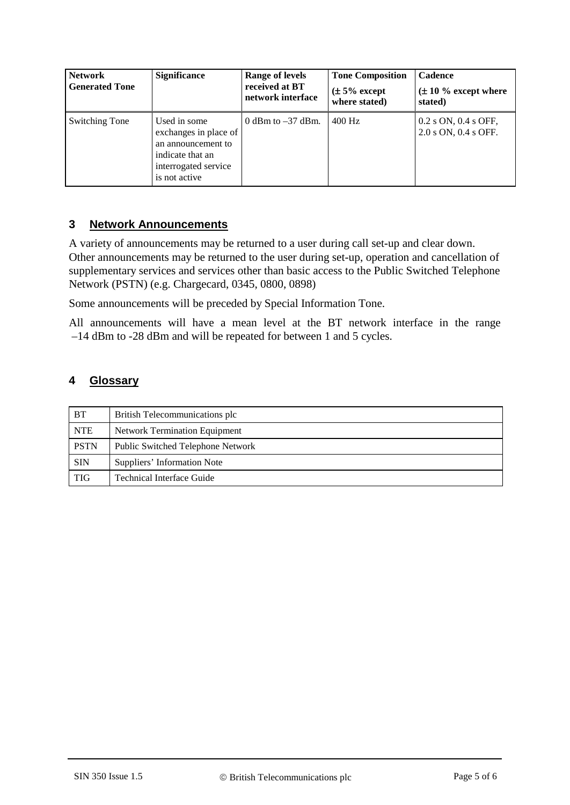| <b>Network</b><br><b>Generated Tone</b> | <b>Significance</b>                                                                                                      | <b>Range of levels</b><br>received at BT<br>network interface | <b>Tone Composition</b><br>$(\pm 5\%$ except<br>where stated) | <b>Cadence</b><br>$(\pm 10\%$ except where<br>stated) |
|-----------------------------------------|--------------------------------------------------------------------------------------------------------------------------|---------------------------------------------------------------|---------------------------------------------------------------|-------------------------------------------------------|
| Switching Tone                          | Used in some<br>exchanges in place of<br>an announcement to<br>indicate that an<br>interrogated service<br>is not active | 0 dBm to $-37$ dBm.                                           | $400$ Hz                                                      | $0.2$ s ON, $0.4$ s OFF,<br>2.0 s ON, 0.4 s OFF.      |

#### **3 Network Announcements**

A variety of announcements may be returned to a user during call set-up and clear down. Other announcements may be returned to the user during set-up, operation and cancellation of supplementary services and services other than basic access to the Public Switched Telephone Network (PSTN) (e.g. Chargecard, 0345, 0800, 0898)

Some announcements will be preceded by Special Information Tone.

All announcements will have a mean level at the BT network interface in the range –14 dBm to -28 dBm and will be repeated for between 1 and 5 cycles.

#### **4 Glossary**

| <b>BT</b>   | British Telecommunications plc       |  |
|-------------|--------------------------------------|--|
| <b>NTE</b>  | <b>Network Termination Equipment</b> |  |
| <b>PSTN</b> | Public Switched Telephone Network    |  |
| <b>SIN</b>  | Suppliers' Information Note          |  |
| <b>TIG</b>  | Technical Interface Guide            |  |